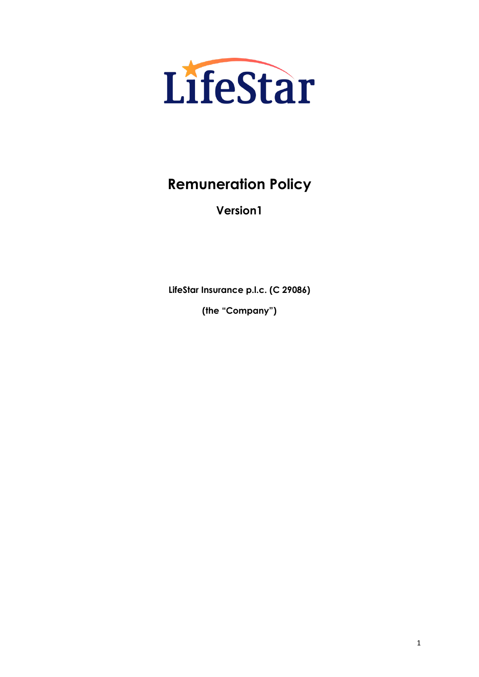

# **Remuneration Policy**

**Version1**

**LifeStar Insurance p.l.c. (C 29086)**

**(the "Company")**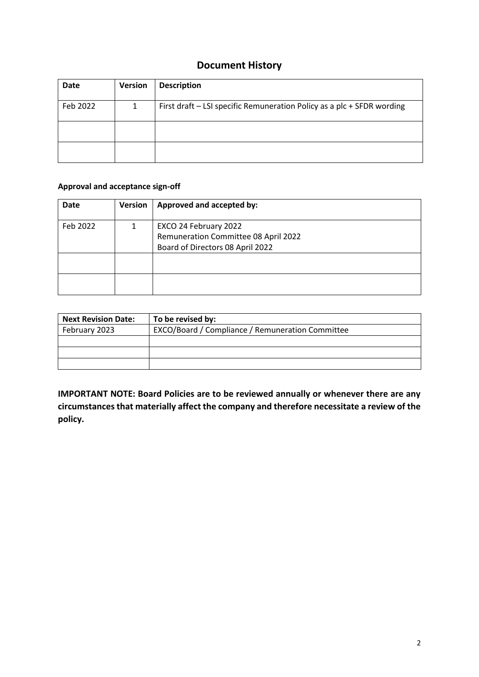## **Document History**

| Date     | <b>Version</b> | <b>Description</b>                                                     |
|----------|----------------|------------------------------------------------------------------------|
| Feb 2022 |                | First draft – LSI specific Remuneration Policy as a plc + SFDR wording |
|          |                |                                                                        |
|          |                |                                                                        |

#### **Approval and acceptance sign-off**

| <b>Date</b> | <b>Version</b> | Approved and accepted by:            |
|-------------|----------------|--------------------------------------|
| Feb 2022    |                | EXCO 24 February 2022                |
|             |                | Remuneration Committee 08 April 2022 |
|             |                | Board of Directors 08 April 2022     |
|             |                |                                      |
|             |                |                                      |
|             |                |                                      |

| <b>Next Revision Date:</b> | To be revised by:                                |
|----------------------------|--------------------------------------------------|
| February 2023              | EXCO/Board / Compliance / Remuneration Committee |
|                            |                                                  |
|                            |                                                  |
|                            |                                                  |

**IMPORTANT NOTE: Board Policies are to be reviewed annually or whenever there are any circumstances that materially affect the company and therefore necessitate a review of the policy.**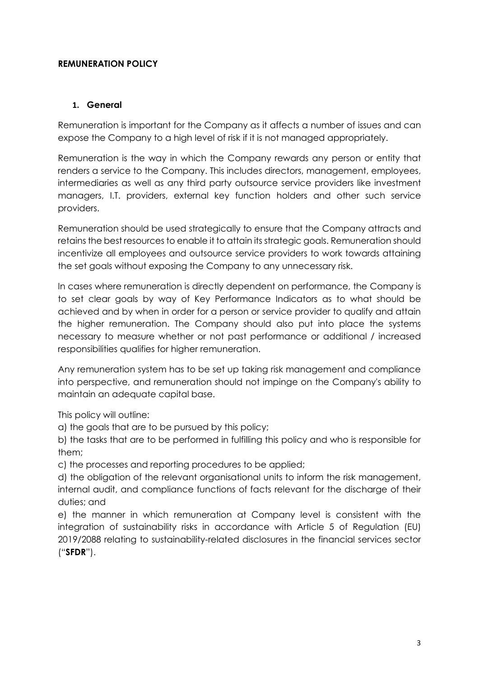#### **REMUNERATION POLICY**

#### **1. General**

Remuneration is important for the Company as it affects a number of issues and can expose the Company to a high level of risk if it is not managed appropriately.

Remuneration is the way in which the Company rewards any person or entity that renders a service to the Company. This includes directors, management, employees, intermediaries as well as any third party outsource service providers like investment managers, I.T. providers, external key function holders and other such service providers.

Remuneration should be used strategically to ensure that the Company attracts and retains the best resources to enable it to attain its strategic goals. Remuneration should incentivize all employees and outsource service providers to work towards attaining the set goals without exposing the Company to any unnecessary risk.

In cases where remuneration is directly dependent on performance, the Company is to set clear goals by way of Key Performance Indicators as to what should be achieved and by when in order for a person or service provider to qualify and attain the higher remuneration. The Company should also put into place the systems necessary to measure whether or not past performance or additional / increased responsibilities qualifies for higher remuneration.

Any remuneration system has to be set up taking risk management and compliance into perspective, and remuneration should not impinge on the Company's ability to maintain an adequate capital base.

This policy will outline:

a) the goals that are to be pursued by this policy;

b) the tasks that are to be performed in fulfilling this policy and who is responsible for them;

c) the processes and reporting procedures to be applied;

d) the obligation of the relevant organisational units to inform the risk management, internal audit, and compliance functions of facts relevant for the discharge of their duties; and

e) the manner in which remuneration at Company level is consistent with the integration of sustainability risks in accordance with Article 5 of Regulation (EU) 2019/2088 relating to sustainability-related disclosures in the financial services sector ("**SFDR**").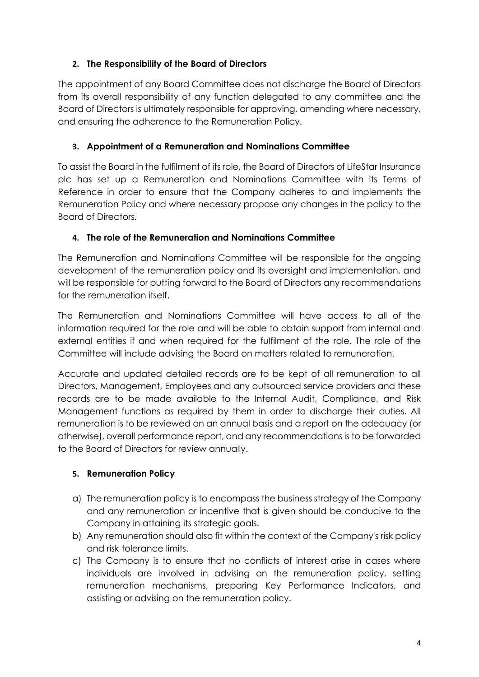# **2. The Responsibility of the Board of Directors**

The appointment of any Board Committee does not discharge the Board of Directors from its overall responsibility of any function delegated to any committee and the Board of Directors is ultimately responsible for approving, amending where necessary, and ensuring the adherence to the Remuneration Policy.

# **3. Appointment of a Remuneration and Nominations Committee**

To assist the Board in the fulfilment of its role, the Board of Directors of LifeStar Insurance plc has set up a Remuneration and Nominations Committee with its Terms of Reference in order to ensure that the Company adheres to and implements the Remuneration Policy and where necessary propose any changes in the policy to the Board of Directors.

# **4. The role of the Remuneration and Nominations Committee**

The Remuneration and Nominations Committee will be responsible for the ongoing development of the remuneration policy and its oversight and implementation, and will be responsible for putting forward to the Board of Directors any recommendations for the remuneration itself.

The Remuneration and Nominations Committee will have access to all of the information required for the role and will be able to obtain support from internal and external entities if and when required for the fulfilment of the role. The role of the Committee will include advising the Board on matters related to remuneration.

Accurate and updated detailed records are to be kept of all remuneration to all Directors, Management, Employees and any outsourced service providers and these records are to be made available to the Internal Audit, Compliance, and Risk Management functions as required by them in order to discharge their duties. All remuneration is to be reviewed on an annual basis and a report on the adequacy (or otherwise), overall performance report, and any recommendations is to be forwarded to the Board of Directors for review annually.

## **5. Remuneration Policy**

- a) The remuneration policy is to encompass the business strategy of the Company and any remuneration or incentive that is given should be conducive to the Company in attaining its strategic goals.
- b) Any remuneration should also fit within the context of the Company's risk policy and risk tolerance limits.
- c) The Company is to ensure that no conflicts of interest arise in cases where individuals are involved in advising on the remuneration policy, setting remuneration mechanisms, preparing Key Performance Indicators, and assisting or advising on the remuneration policy.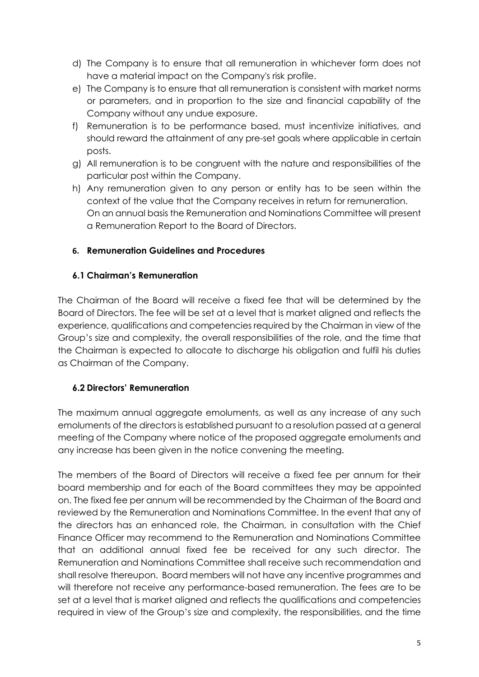- d) The Company is to ensure that all remuneration in whichever form does not have a material impact on the Company's risk profile.
- e) The Company is to ensure that all remuneration is consistent with market norms or parameters, and in proportion to the size and financial capability of the Company without any undue exposure.
- f) Remuneration is to be performance based, must incentivize initiatives, and should reward the attainment of any pre-set goals where applicable in certain posts.
- g) All remuneration is to be congruent with the nature and responsibilities of the particular post within the Company.
- h) Any remuneration given to any person or entity has to be seen within the context of the value that the Company receives in return for remuneration. On an annual basis the Remuneration and Nominations Committee will present a Remuneration Report to the Board of Directors.

## **6. Remuneration Guidelines and Procedures**

# **6.1 Chairman's Remuneration**

The Chairman of the Board will receive a fixed fee that will be determined by the Board of Directors. The fee will be set at a level that is market aligned and reflects the experience, qualifications and competencies required by the Chairman in view of the Group's size and complexity, the overall responsibilities of the role, and the time that the Chairman is expected to allocate to discharge his obligation and fulfil his duties as Chairman of the Company.

# **6.2 Directors' Remuneration**

The maximum annual aggregate emoluments, as well as any increase of any such emoluments of the directors is established pursuant to a resolution passed at a general meeting of the Company where notice of the proposed aggregate emoluments and any increase has been given in the notice convening the meeting.

The members of the Board of Directors will receive a fixed fee per annum for their board membership and for each of the Board committees they may be appointed on. The fixed fee per annum will be recommended by the Chairman of the Board and reviewed by the Remuneration and Nominations Committee. In the event that any of the directors has an enhanced role, the Chairman, in consultation with the Chief Finance Officer may recommend to the Remuneration and Nominations Committee that an additional annual fixed fee be received for any such director. The Remuneration and Nominations Committee shall receive such recommendation and shall resolve thereupon. Board members will not have any incentive programmes and will therefore not receive any performance-based remuneration. The fees are to be set at a level that is market aligned and reflects the qualifications and competencies required in view of the Group's size and complexity, the responsibilities, and the time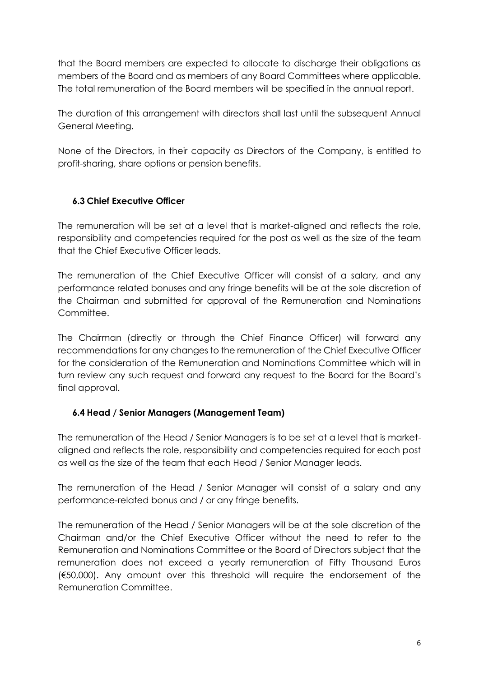that the Board members are expected to allocate to discharge their obligations as members of the Board and as members of any Board Committees where applicable. The total remuneration of the Board members will be specified in the annual report.

The duration of this arrangement with directors shall last until the subsequent Annual General Meeting.

None of the Directors, in their capacity as Directors of the Company, is entitled to profit-sharing, share options or pension benefits.

## **6.3 Chief Executive Officer**

The remuneration will be set at a level that is market-aligned and reflects the role, responsibility and competencies required for the post as well as the size of the team that the Chief Executive Officer leads.

The remuneration of the Chief Executive Officer will consist of a salary, and any performance related bonuses and any fringe benefits will be at the sole discretion of the Chairman and submitted for approval of the Remuneration and Nominations Committee.

The Chairman (directly or through the Chief Finance Officer) will forward any recommendations for any changes to the remuneration of the Chief Executive Officer for the consideration of the Remuneration and Nominations Committee which will in turn review any such request and forward any request to the Board for the Board's final approval.

## **6.4 Head / Senior Managers (Management Team)**

The remuneration of the Head / Senior Managers is to be set at a level that is marketaligned and reflects the role, responsibility and competencies required for each post as well as the size of the team that each Head / Senior Manager leads.

The remuneration of the Head / Senior Manager will consist of a salary and any performance-related bonus and / or any fringe benefits.

The remuneration of the Head / Senior Managers will be at the sole discretion of the Chairman and/or the Chief Executive Officer without the need to refer to the Remuneration and Nominations Committee or the Board of Directors subject that the remuneration does not exceed a yearly remuneration of Fifty Thousand Euros (€50,000). Any amount over this threshold will require the endorsement of the Remuneration Committee.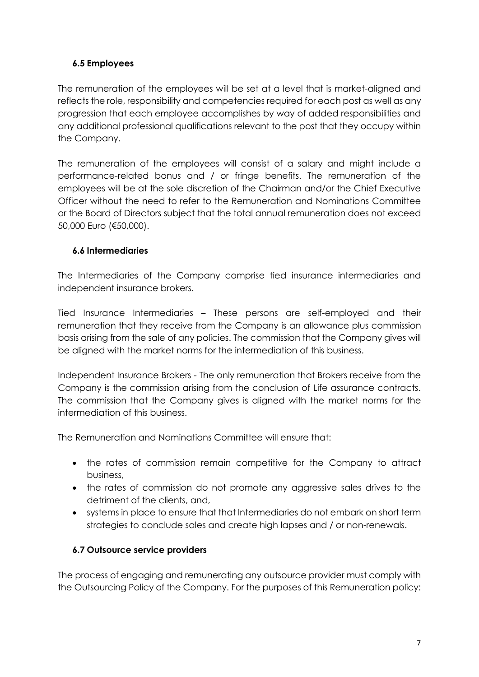# **6.5 Employees**

The remuneration of the employees will be set at a level that is market-aligned and reflects the role, responsibility and competencies required for each post as well as any progression that each employee accomplishes by way of added responsibilities and any additional professional qualifications relevant to the post that they occupy within the Company.

The remuneration of the employees will consist of a salary and might include a performance-related bonus and / or fringe benefits. The remuneration of the employees will be at the sole discretion of the Chairman and/or the Chief Executive Officer without the need to refer to the Remuneration and Nominations Committee or the Board of Directors subject that the total annual remuneration does not exceed 50,000 Euro (€50,000).

## **6.6 Intermediaries**

The Intermediaries of the Company comprise tied insurance intermediaries and independent insurance brokers.

Tied Insurance Intermediaries – These persons are self-employed and their remuneration that they receive from the Company is an allowance plus commission basis arising from the sale of any policies. The commission that the Company gives will be aligned with the market norms for the intermediation of this business.

Independent Insurance Brokers - The only remuneration that Brokers receive from the Company is the commission arising from the conclusion of Life assurance contracts. The commission that the Company gives is aligned with the market norms for the intermediation of this business.

The Remuneration and Nominations Committee will ensure that:

- the rates of commission remain competitive for the Company to attract business,
- the rates of commission do not promote any aggressive sales drives to the detriment of the clients, and,
- systems in place to ensure that that Intermediaries do not embark on short term strategies to conclude sales and create high lapses and / or non-renewals.

# **6.7 Outsource service providers**

The process of engaging and remunerating any outsource provider must comply with the Outsourcing Policy of the Company. For the purposes of this Remuneration policy: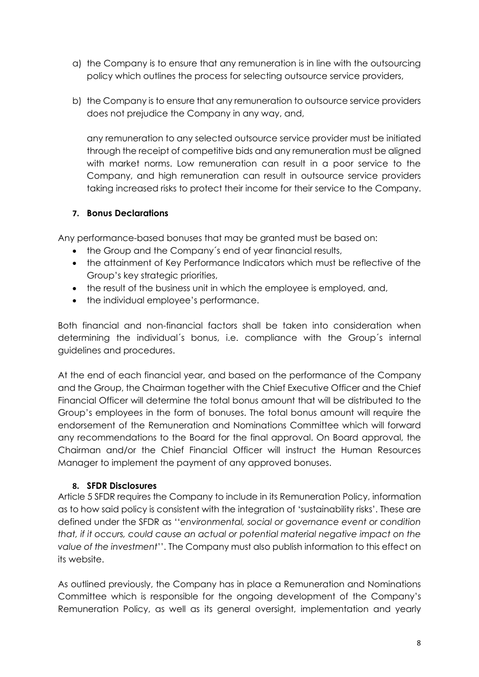- a) the Company is to ensure that any remuneration is in line with the outsourcing policy which outlines the process for selecting outsource service providers,
- b) the Company is to ensure that any remuneration to outsource service providers does not prejudice the Company in any way, and,

any remuneration to any selected outsource service provider must be initiated through the receipt of competitive bids and any remuneration must be aligned with market norms. Low remuneration can result in a poor service to the Company, and high remuneration can result in outsource service providers taking increased risks to protect their income for their service to the Company.

## **7. Bonus Declarations**

Any performance-based bonuses that may be granted must be based on:

- the Group and the Company's end of year financial results,
- the attainment of Key Performance Indicators which must be reflective of the Group's key strategic priorities,
- the result of the business unit in which the employee is employed, and,
- the individual employee's performance.

Both financial and non-financial factors shall be taken into consideration when determining the individual´s bonus, i.e. compliance with the Group´s internal guidelines and procedures.

At the end of each financial year, and based on the performance of the Company and the Group, the Chairman together with the Chief Executive Officer and the Chief Financial Officer will determine the total bonus amount that will be distributed to the Group's employees in the form of bonuses. The total bonus amount will require the endorsement of the Remuneration and Nominations Committee which will forward any recommendations to the Board for the final approval. On Board approval, the Chairman and/or the Chief Financial Officer will instruct the Human Resources Manager to implement the payment of any approved bonuses.

## **8. SFDR Disclosures**

Article 5 SFDR requires the Company to include in its Remuneration Policy, information as to how said policy is consistent with the integration of 'sustainability risks'. These are defined under the SFDR as ''*environmental, social or governance event or condition that, if it occurs, could cause an actual or potential material negative impact on the value of the investment*''. The Company must also publish information to this effect on its website.

As outlined previously, the Company has in place a Remuneration and Nominations Committee which is responsible for the ongoing development of the Company's Remuneration Policy, as well as its general oversight, implementation and yearly